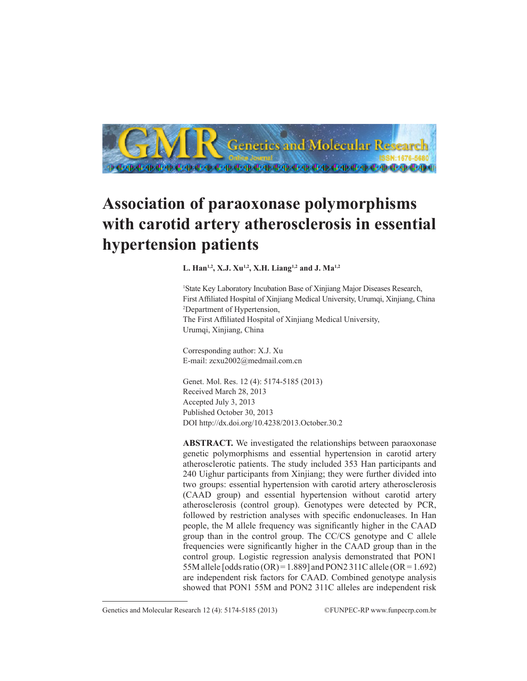

## **Association of paraoxonase polymorphisms with carotid artery atherosclerosis in essential hypertension patients**

**L. Han1,2, X.J. Xu1,2, X.H. Liang1,2 and J. Ma1,2**

1 State Key Laboratory Incubation Base of Xinjiang Major Diseases Research, First Affiliated Hospital of Xinjiang Medical University, Urumqi, Xinjiang, China 2 Department of Hypertension, The First Affiliated Hospital of Xinjiang Medical University, Urumqi, Xinjiang, China

Corresponding author: X.J. Xu E-mail: zcxu2002@medmail.com.cn

Genet. Mol. Res. 12 (4): 5174-5185 (2013) Received March 28, 2013 Accepted July 3, 2013 Published October 30, 2013 DOI http://dx.doi.org/10.4238/2013.October.30.2

**ABSTRACT.** We investigated the relationships between paraoxonase genetic polymorphisms and essential hypertension in carotid artery atherosclerotic patients. The study included 353 Han participants and 240 Uighur participants from Xinjiang; they were further divided into two groups: essential hypertension with carotid artery atherosclerosis (CAAD group) and essential hypertension without carotid artery atherosclerosis (control group). Genotypes were detected by PCR, followed by restriction analyses with specific endonucleases. In Han people, the M allele frequency was significantly higher in the CAAD group than in the control group. The CC/CS genotype and C allele frequencies were significantly higher in the CAAD group than in the control group. Logistic regression analysis demonstrated that PON1 55M allele  $[odds ratio (OR) = 1.889]$  and PON2 311C allele  $(OR = 1.692)$ are independent risk factors for CAAD. Combined genotype analysis showed that PON1 55M and PON2 311C alleles are independent risk

Genetics and Molecular Research 12 (4): 5174-5185 (2013) ©FUNPEC-RP www.funpecrp.com.br